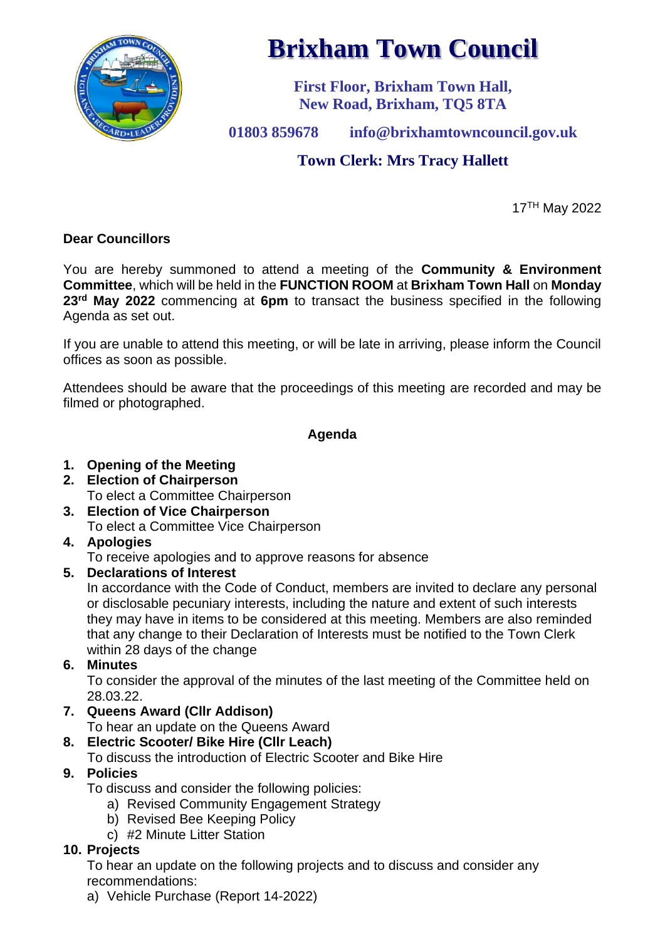

# **Brixham Town Council**

**First Floor, Brixham Town Hall, New Road, Brixham, TQ5 8TA**

**01803 859678 info@brixhamtowncouncil.gov.uk**

# **Town Clerk: Mrs Tracy Hallett**

17TH May 2022

#### **Dear Councillors**

You are hereby summoned to attend a meeting of the **Community & Environment Committee**, which will be held in the **FUNCTION ROOM** at **Brixham Town Hall** on **Monday 23 rd May 2022** commencing at **6pm** to transact the business specified in the following Agenda as set out.

If you are unable to attend this meeting, or will be late in arriving, please inform the Council offices as soon as possible.

Attendees should be aware that the proceedings of this meeting are recorded and may be filmed or photographed.

#### **Agenda**

- **1. Opening of the Meeting**
- **2. Election of Chairperson** To elect a Committee Chairperson
- **3. Election of Vice Chairperson** To elect a Committee Vice Chairperson
- **4. Apologies**

To receive apologies and to approve reasons for absence

#### **5. Declarations of Interest**

In accordance with the Code of Conduct, members are invited to declare any personal or disclosable pecuniary interests, including the nature and extent of such interests they may have in items to be considered at this meeting. Members are also reminded that any change to their Declaration of Interests must be notified to the Town Clerk within 28 days of the change

## **6. Minutes**

To consider the approval of the minutes of the last meeting of the Committee held on 28.03.22.

**7. Queens Award (Cllr Addison)**

To hear an update on the Queens Award

- **8. Electric Scooter/ Bike Hire (Cllr Leach)**
- To discuss the introduction of Electric Scooter and Bike Hire

## **9. Policies**

To discuss and consider the following policies:

- a) Revised Community Engagement Strategy
- b) Revised Bee Keeping Policy
- c) #2 Minute Litter Station

## **10. Projects**

To hear an update on the following projects and to discuss and consider any recommendations:

a) Vehicle Purchase (Report 14-2022)